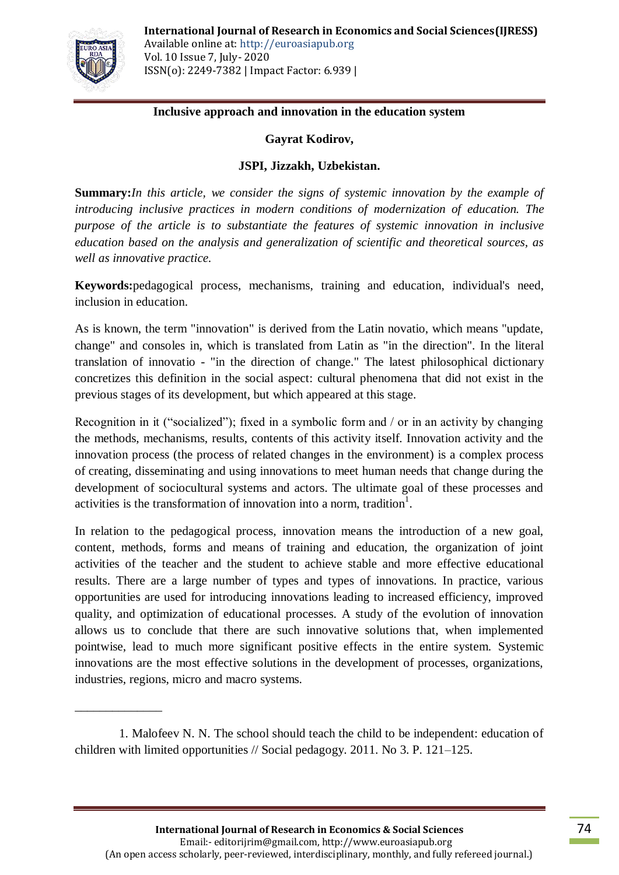

\_\_\_\_\_\_\_\_\_\_\_\_\_\_

## **Inclusive approach and innovation in the education system**

## **Gayrat Kodirov,**

## **JSPI, Jizzakh, Uzbekistan.**

**Summary:***In this article, we consider the signs of systemic innovation by the example of introducing inclusive practices in modern conditions of modernization of education. The purpose of the article is to substantiate the features of systemic innovation in inclusive education based on the analysis and generalization of scientific and theoretical sources, as well as innovative practice.*

**Keywords:**pedagogical process, mechanisms, training and education, individual's need, inclusion in education.

As is known, the term "innovation" is derived from the Latin novatio, which means "update, change" and consoles in, which is translated from Latin as "in the direction". In the literal translation of innovatio - "in the direction of change." The latest philosophical dictionary concretizes this definition in the social aspect: cultural phenomena that did not exist in the previous stages of its development, but which appeared at this stage.

Recognition in it ("socialized"); fixed in a symbolic form and / or in an activity by changing the methods, mechanisms, results, contents of this activity itself. Innovation activity and the innovation process (the process of related changes in the environment) is a complex process of creating, disseminating and using innovations to meet human needs that change during the development of sociocultural systems and actors. The ultimate goal of these processes and activities is the transformation of innovation into a norm, tradition<sup>1</sup>.

In relation to the pedagogical process, innovation means the introduction of a new goal, content, methods, forms and means of training and education, the organization of joint activities of the teacher and the student to achieve stable and more effective educational results. There are a large number of types and types of innovations. In practice, various opportunities are used for introducing innovations leading to increased efficiency, improved quality, and optimization of educational processes. A study of the evolution of innovation allows us to conclude that there are such innovative solutions that, when implemented pointwise, lead to much more significant positive effects in the entire system. Systemic innovations are the most effective solutions in the development of processes, organizations, industries, regions, micro and macro systems.

<sup>1.</sup> Malofeev N. N. The school should teach the child to be independent: education of children with limited opportunities // Social pedagogy. 2011. No 3. P. 121–125.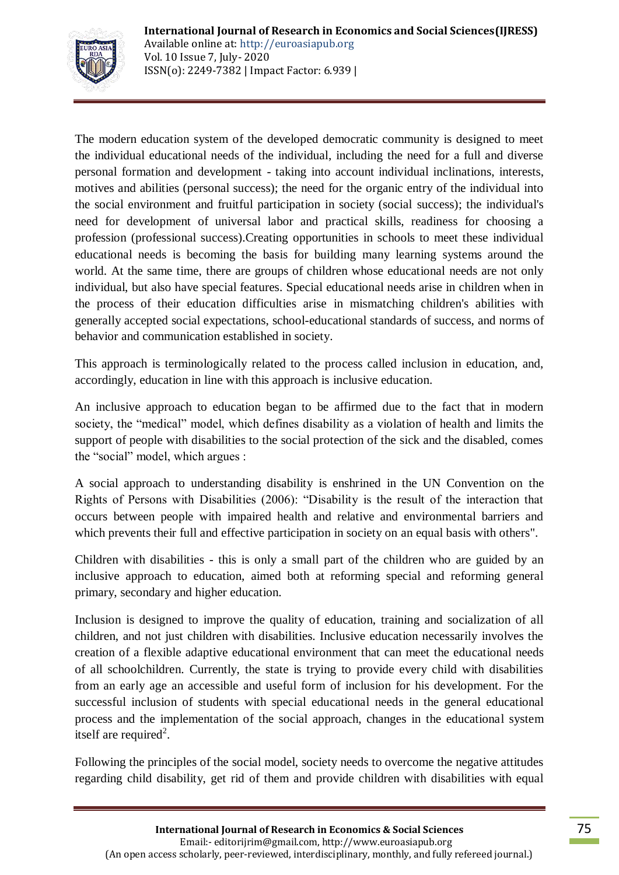

The modern education system of the developed democratic community is designed to meet the individual educational needs of the individual, including the need for a full and diverse personal formation and development - taking into account individual inclinations, interests, motives and abilities (personal success); the need for the organic entry of the individual into the social environment and fruitful participation in society (social success); the individual's need for development of universal labor and practical skills, readiness for choosing a profession (professional success).Creating opportunities in schools to meet these individual educational needs is becoming the basis for building many learning systems around the world. At the same time, there are groups of children whose educational needs are not only individual, but also have special features. Special educational needs arise in children when in the process of their education difficulties arise in mismatching children's abilities with generally accepted social expectations, school-educational standards of success, and norms of behavior and communication established in society.

This approach is terminologically related to the process called inclusion in education, and, accordingly, education in line with this approach is inclusive education.

An inclusive approach to education began to be affirmed due to the fact that in modern society, the "medical" model, which defines disability as a violation of health and limits the support of people with disabilities to the social protection of the sick and the disabled, comes the "social" model, which argues :

A social approach to understanding disability is enshrined in the UN Convention on the Rights of Persons with Disabilities (2006): "Disability is the result of the interaction that occurs between people with impaired health and relative and environmental barriers and which prevents their full and effective participation in society on an equal basis with others".

Children with disabilities - this is only a small part of the children who are guided by an inclusive approach to education, aimed both at reforming special and reforming general primary, secondary and higher education.

Inclusion is designed to improve the quality of education, training and socialization of all children, and not just children with disabilities. Inclusive education necessarily involves the creation of a flexible adaptive educational environment that can meet the educational needs of all schoolchildren. Currently, the state is trying to provide every child with disabilities from an early age an accessible and useful form of inclusion for his development. For the successful inclusion of students with special educational needs in the general educational process and the implementation of the social approach, changes in the educational system itself are required<sup>2</sup>.

Following the principles of the social model, society needs to overcome the negative attitudes regarding child disability, get rid of them and provide children with disabilities with equal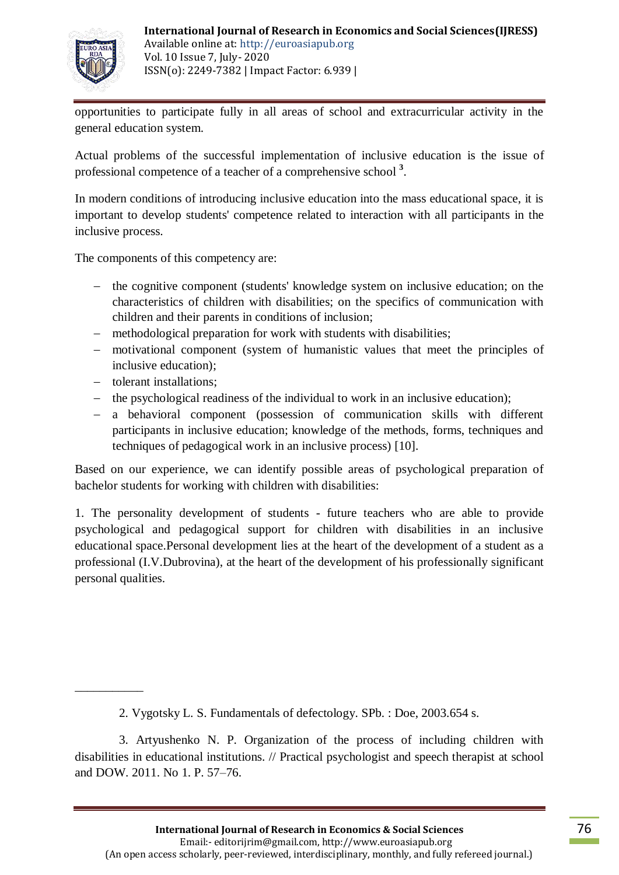

opportunities to participate fully in all areas of school and extracurricular activity in the general education system.

Actual problems of the successful implementation of inclusive education is the issue of professional competence of a teacher of a comprehensive school **<sup>3</sup>** .

In modern conditions of introducing inclusive education into the mass educational space, it is important to develop students' competence related to interaction with all participants in the inclusive process.

The components of this competency are:

- the cognitive component (students' knowledge system on inclusive education; on the characteristics of children with disabilities; on the specifics of communication with children and their parents in conditions of inclusion;
- methodological preparation for work with students with disabilities;
- motivational component (system of humanistic values that meet the principles of inclusive education);
- tolerant installations;

\_\_\_\_\_\_\_\_\_\_\_

- the psychological readiness of the individual to work in an inclusive education);
- a behavioral component (possession of communication skills with different participants in inclusive education; knowledge of the methods, forms, techniques and techniques of pedagogical work in an inclusive process) [10].

Based on our experience, we can identify possible areas of psychological preparation of bachelor students for working with children with disabilities:

1. The personality development of students - future teachers who are able to provide psychological and pedagogical support for children with disabilities in an inclusive educational space.Personal development lies at the heart of the development of a student as a professional (I.V.Dubrovina), at the heart of the development of his professionally significant personal qualities.

<sup>2.</sup> Vygotsky L. S. Fundamentals of defectology. SPb. : Doe, 2003.654 s.

<sup>3.</sup> Artyushenko N. P. Organization of the process of including children with disabilities in educational institutions. // Practical psychologist and speech therapist at school and DOW. 2011. No 1. P. 57–76.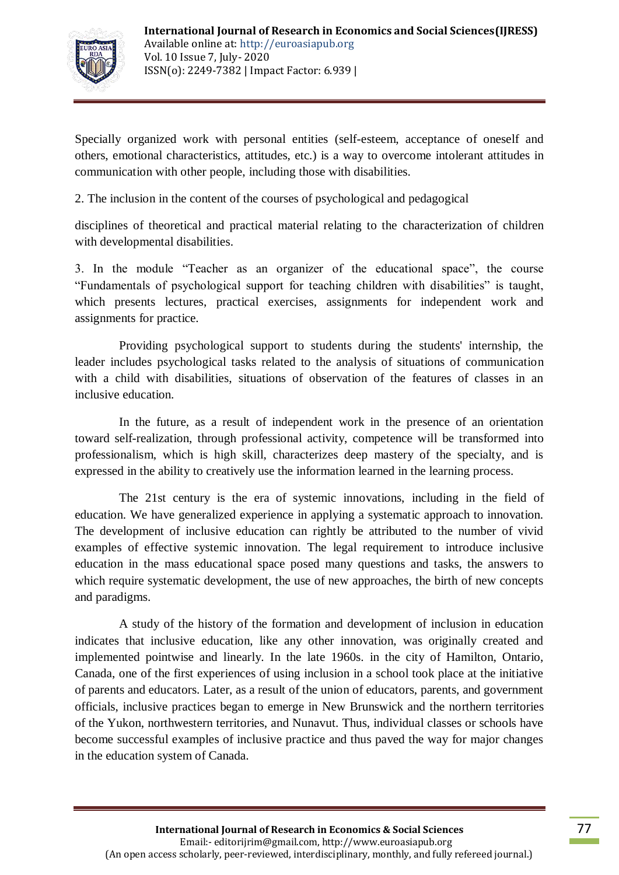

Specially organized work with personal entities (self-esteem, acceptance of oneself and others, emotional characteristics, attitudes, etc.) is a way to overcome intolerant attitudes in communication with other people, including those with disabilities.

2. The inclusion in the content of the courses of psychological and pedagogical

disciplines of theoretical and practical material relating to the characterization of children with developmental disabilities.

3. In the module "Teacher as an organizer of the educational space", the course "Fundamentals of psychological support for teaching children with disabilities" is taught, which presents lectures, practical exercises, assignments for independent work and assignments for practice.

Providing psychological support to students during the students' internship, the leader includes psychological tasks related to the analysis of situations of communication with a child with disabilities, situations of observation of the features of classes in an inclusive education.

In the future, as a result of independent work in the presence of an orientation toward self-realization, through professional activity, competence will be transformed into professionalism, which is high skill, characterizes deep mastery of the specialty, and is expressed in the ability to creatively use the information learned in the learning process.

The 21st century is the era of systemic innovations, including in the field of education. We have generalized experience in applying a systematic approach to innovation. The development of inclusive education can rightly be attributed to the number of vivid examples of effective systemic innovation. The legal requirement to introduce inclusive education in the mass educational space posed many questions and tasks, the answers to which require systematic development, the use of new approaches, the birth of new concepts and paradigms.

A study of the history of the formation and development of inclusion in education indicates that inclusive education, like any other innovation, was originally created and implemented pointwise and linearly. In the late 1960s. in the city of Hamilton, Ontario, Canada, one of the first experiences of using inclusion in a school took place at the initiative of parents and educators. Later, as a result of the union of educators, parents, and government officials, inclusive practices began to emerge in New Brunswick and the northern territories of the Yukon, northwestern territories, and Nunavut. Thus, individual classes or schools have become successful examples of inclusive practice and thus paved the way for major changes in the education system of Canada.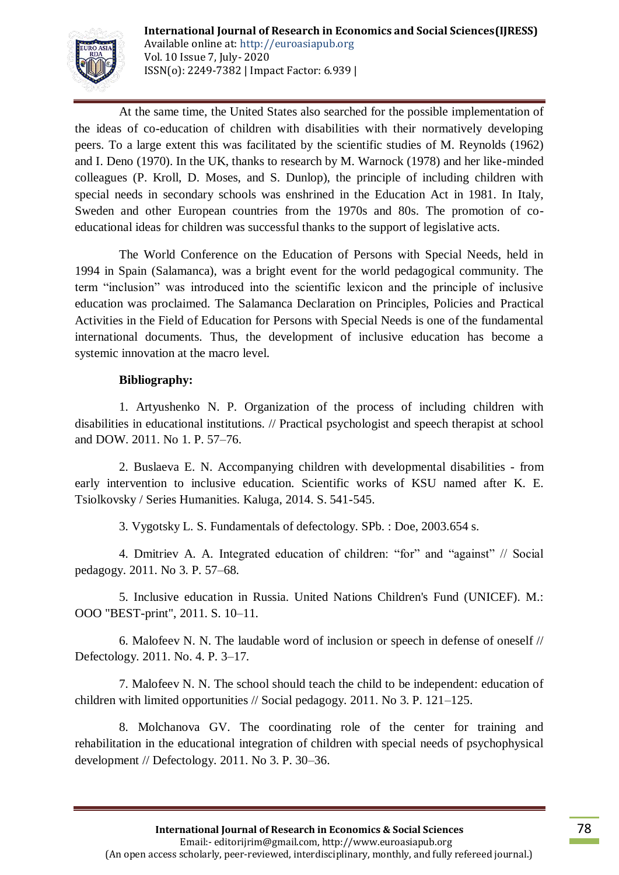

At the same time, the United States also searched for the possible implementation of the ideas of co-education of children with disabilities with their normatively developing peers. To a large extent this was facilitated by the scientific studies of M. Reynolds (1962) and I. Deno (1970). In the UK, thanks to research by M. Warnock (1978) and her like-minded colleagues (P. Kroll, D. Moses, and S. Dunlop), the principle of including children with special needs in secondary schools was enshrined in the Education Act in 1981. In Italy, Sweden and other European countries from the 1970s and 80s. The promotion of coeducational ideas for children was successful thanks to the support of legislative acts.

The World Conference on the Education of Persons with Special Needs, held in 1994 in Spain (Salamanca), was a bright event for the world pedagogical community. The term "inclusion" was introduced into the scientific lexicon and the principle of inclusive education was proclaimed. The Salamanca Declaration on Principles, Policies and Practical Activities in the Field of Education for Persons with Special Needs is one of the fundamental international documents. Thus, the development of inclusive education has become a systemic innovation at the macro level.

## **Bibliography:**

1. Artyushenko N. P. Organization of the process of including children with disabilities in educational institutions. // Practical psychologist and speech therapist at school and DOW. 2011. No 1. P. 57–76.

2. Buslaeva E. N. Accompanying children with developmental disabilities - from early intervention to inclusive education. Scientific works of KSU named after K. E. Tsiolkovsky / Series Humanities. Kaluga, 2014. S. 541-545.

3. Vygotsky L. S. Fundamentals of defectology. SPb. : Doe, 2003.654 s.

4. Dmitriev A. A. Integrated education of children: "for" and "against" // Social pedagogy. 2011. No 3. P. 57–68.

5. Inclusive education in Russia. United Nations Children's Fund (UNICEF). M.: OOO "BEST-print", 2011. S. 10–11.

6. Malofeev N. N. The laudable word of inclusion or speech in defense of oneself // Defectology. 2011. No. 4. P. 3–17.

7. Malofeev N. N. The school should teach the child to be independent: education of children with limited opportunities // Social pedagogy. 2011. No 3. P. 121–125.

8. Molchanova GV. The coordinating role of the center for training and rehabilitation in the educational integration of children with special needs of psychophysical development // Defectology. 2011. No 3. P. 30–36.